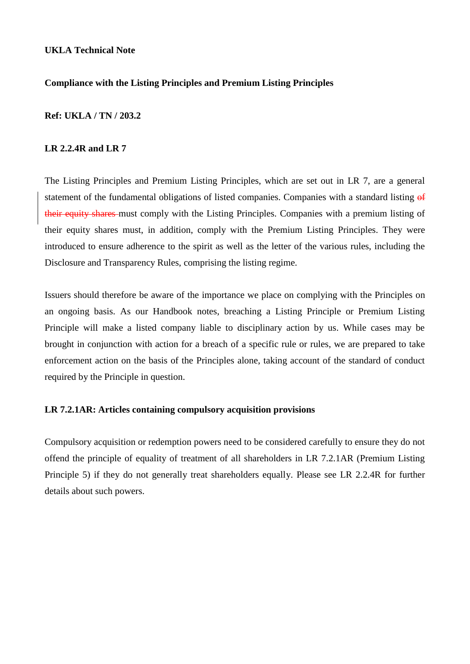# **Compliance with the Listing Principles and Premium Listing Principles**

# **Ref: UKLA / TN / 203.2**

# **LR 2.2.4R and LR 7**

The Listing Principles and Premium Listing Principles, which are set out in LR 7, are a general statement of the fundamental obligations of listed companies. Companies with a standard listing of their equity shares must comply with the Listing Principles. Companies with a premium listing of their equity shares must, in addition, comply with the Premium Listing Principles. They were introduced to ensure adherence to the spirit as well as the letter of the various rules, including the Disclosure and Transparency Rules, comprising the listing regime.

Issuers should therefore be aware of the importance we place on complying with the Principles on an ongoing basis. As our Handbook notes, breaching a Listing Principle or Premium Listing Principle will make a listed company liable to disciplinary action by us. While cases may be brought in conjunction with action for a breach of a specific rule or rules, we are prepared to take enforcement action on the basis of the Principles alone, taking account of the standard of conduct required by the Principle in question.

# **LR 7.2.1AR: Articles containing compulsory acquisition provisions**

Compulsory acquisition or redemption powers need to be considered carefully to ensure they do not offend the principle of equality of treatment of all shareholders in LR 7.2.1AR (Premium Listing Principle 5) if they do not generally treat shareholders equally. Please see LR 2.2.4R for further details about such powers.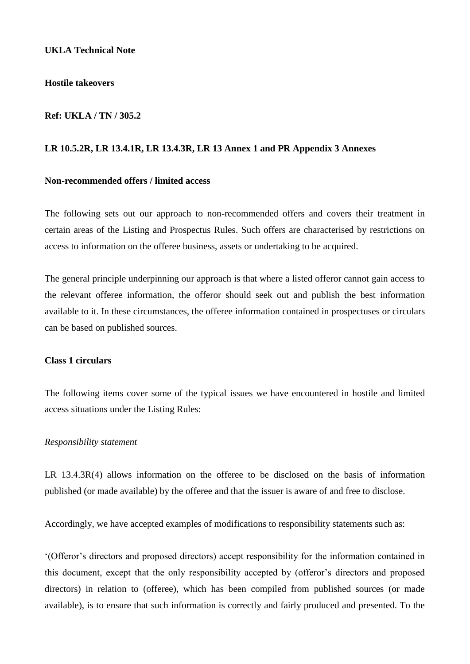#### **Hostile takeovers**

#### **Ref: UKLA / TN / 305.2**

#### **LR 10.5.2R, LR 13.4.1R, LR 13.4.3R, LR 13 Annex 1 and PR Appendix 3 Annexes**

# **Non-recommended offers / limited access**

The following sets out our approach to non-recommended offers and covers their treatment in certain areas of the Listing and Prospectus Rules. Such offers are characterised by restrictions on access to information on the offeree business, assets or undertaking to be acquired.

The general principle underpinning our approach is that where a listed offeror cannot gain access to the relevant offeree information, the offeror should seek out and publish the best information available to it. In these circumstances, the offeree information contained in prospectuses or circulars can be based on published sources.

# **Class 1 circulars**

The following items cover some of the typical issues we have encountered in hostile and limited access situations under the Listing Rules:

#### *Responsibility statement*

LR 13.4.3R(4) allows information on the offeree to be disclosed on the basis of information published (or made available) by the offeree and that the issuer is aware of and free to disclose.

Accordingly, we have accepted examples of modifications to responsibility statements such as:

'(Offeror's directors and proposed directors) accept responsibility for the information contained in this document, except that the only responsibility accepted by (offeror's directors and proposed directors) in relation to (offeree), which has been compiled from published sources (or made available), is to ensure that such information is correctly and fairly produced and presented. To the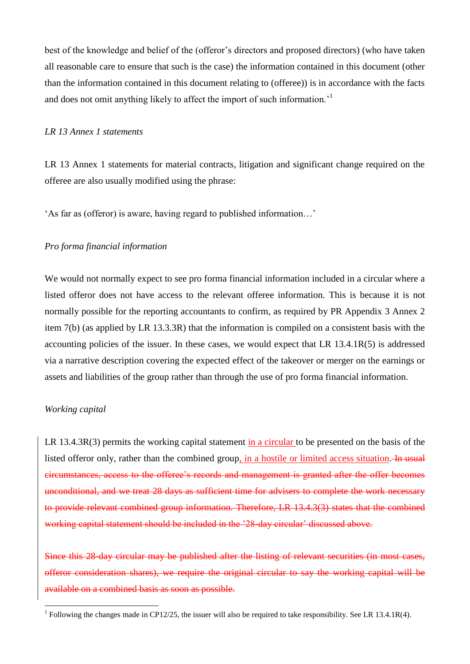best of the knowledge and belief of the (offeror's directors and proposed directors) (who have taken all reasonable care to ensure that such is the case) the information contained in this document (other than the information contained in this document relating to (offeree)) is in accordance with the facts and does not omit anything likely to affect the import of such information.<sup>1</sup>

# *LR 13 Annex 1 statements*

LR 13 Annex 1 statements for material contracts, litigation and significant change required on the offeree are also usually modified using the phrase:

'As far as (offeror) is aware, having regard to published information…'

# *Pro forma financial information*

We would not normally expect to see pro forma financial information included in a circular where a listed offeror does not have access to the relevant offeree information. This is because it is not normally possible for the reporting accountants to confirm, as required by PR Appendix 3 Annex 2 item 7(b) (as applied by LR 13.3.3R) that the information is compiled on a consistent basis with the accounting policies of the issuer. In these cases, we would expect that LR 13.4.1R(5) is addressed via a narrative description covering the expected effect of the takeover or merger on the earnings or assets and liabilities of the group rather than through the use of pro forma financial information.

### *Working capital*

1

LR 13.4.3R(3) permits the working capital statement in a circular to be presented on the basis of the listed offeror only, rather than the combined group, in a hostile or limited access situation. In usual circumstances, access to the offeree's records and management is granted after the offer becomes unconditional, and we treat 28 days as sufficient time for advisers to complete the work necessary to provide relevant combined group information. Therefore, LR 13.4.3(3) states that the combined working capital statement should be included in the '28-day circular' discussed above.

Since this 28-day circular may be published after the listing of relevant securities (in most cases, offeror consideration shares), we require the original circular to say the working capital will be available on a combined basis as soon as possible.

<sup>&</sup>lt;sup>1</sup> Following the changes made in CP12/25, the issuer will also be required to take responsibility. See LR 13.4.1R(4).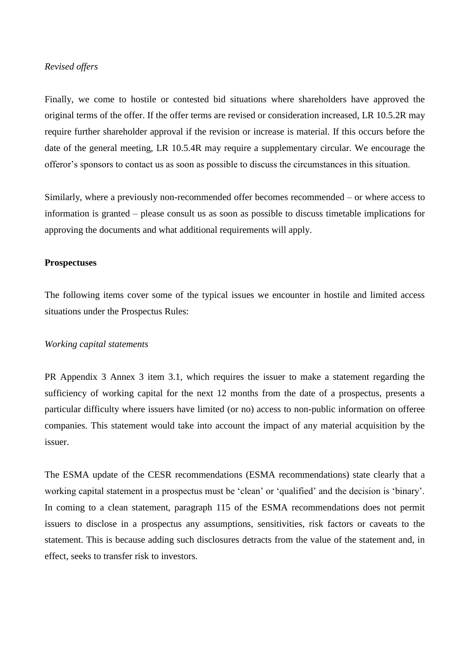# *Revised offers*

Finally, we come to hostile or contested bid situations where shareholders have approved the original terms of the offer. If the offer terms are revised or consideration increased, LR 10.5.2R may require further shareholder approval if the revision or increase is material. If this occurs before the date of the general meeting, LR 10.5.4R may require a supplementary circular. We encourage the offeror's sponsors to contact us as soon as possible to discuss the circumstances in this situation.

Similarly, where a previously non-recommended offer becomes recommended – or where access to information is granted – please consult us as soon as possible to discuss timetable implications for approving the documents and what additional requirements will apply.

### **Prospectuses**

The following items cover some of the typical issues we encounter in hostile and limited access situations under the Prospectus Rules:

#### *Working capital statements*

PR Appendix 3 Annex 3 item 3.1, which requires the issuer to make a statement regarding the sufficiency of working capital for the next 12 months from the date of a prospectus, presents a particular difficulty where issuers have limited (or no) access to non-public information on offeree companies. This statement would take into account the impact of any material acquisition by the issuer.

The ESMA update of the CESR recommendations (ESMA recommendations) state clearly that a working capital statement in a prospectus must be 'clean' or 'qualified' and the decision is 'binary'. In coming to a clean statement, paragraph 115 of the ESMA recommendations does not permit issuers to disclose in a prospectus any assumptions, sensitivities, risk factors or caveats to the statement. This is because adding such disclosures detracts from the value of the statement and, in effect, seeks to transfer risk to investors.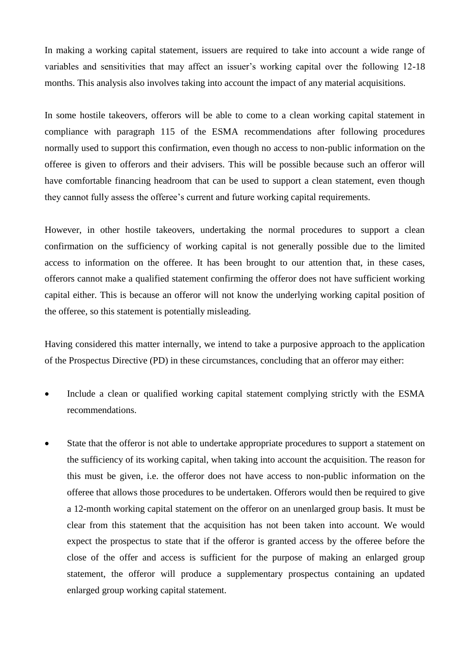In making a working capital statement, issuers are required to take into account a wide range of variables and sensitivities that may affect an issuer's working capital over the following 12-18 months. This analysis also involves taking into account the impact of any material acquisitions.

In some hostile takeovers, offerors will be able to come to a clean working capital statement in compliance with paragraph 115 of the ESMA recommendations after following procedures normally used to support this confirmation, even though no access to non-public information on the offeree is given to offerors and their advisers. This will be possible because such an offeror will have comfortable financing headroom that can be used to support a clean statement, even though they cannot fully assess the offeree's current and future working capital requirements.

However, in other hostile takeovers, undertaking the normal procedures to support a clean confirmation on the sufficiency of working capital is not generally possible due to the limited access to information on the offeree. It has been brought to our attention that, in these cases, offerors cannot make a qualified statement confirming the offeror does not have sufficient working capital either. This is because an offeror will not know the underlying working capital position of the offeree, so this statement is potentially misleading.

Having considered this matter internally, we intend to take a purposive approach to the application of the Prospectus Directive (PD) in these circumstances, concluding that an offeror may either:

- Include a clean or qualified working capital statement complying strictly with the ESMA recommendations.
- State that the offeror is not able to undertake appropriate procedures to support a statement on the sufficiency of its working capital, when taking into account the acquisition. The reason for this must be given, i.e. the offeror does not have access to non-public information on the offeree that allows those procedures to be undertaken. Offerors would then be required to give a 12-month working capital statement on the offeror on an unenlarged group basis. It must be clear from this statement that the acquisition has not been taken into account. We would expect the prospectus to state that if the offeror is granted access by the offeree before the close of the offer and access is sufficient for the purpose of making an enlarged group statement, the offeror will produce a supplementary prospectus containing an updated enlarged group working capital statement.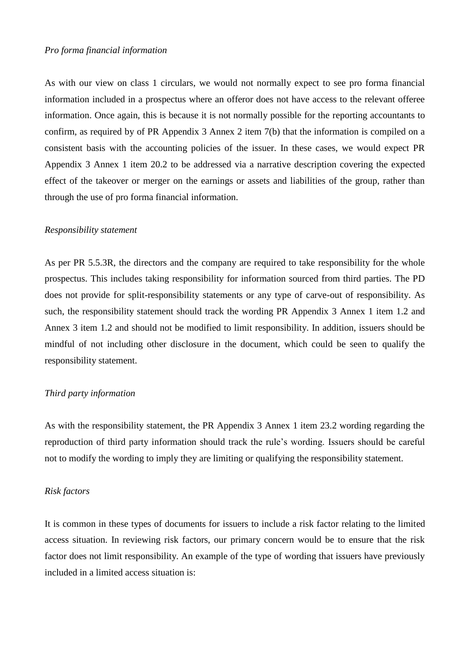# *Pro forma financial information*

As with our view on class 1 circulars, we would not normally expect to see pro forma financial information included in a prospectus where an offeror does not have access to the relevant offeree information. Once again, this is because it is not normally possible for the reporting accountants to confirm, as required by of PR Appendix 3 Annex 2 item 7(b) that the information is compiled on a consistent basis with the accounting policies of the issuer. In these cases, we would expect PR Appendix 3 Annex 1 item 20.2 to be addressed via a narrative description covering the expected effect of the takeover or merger on the earnings or assets and liabilities of the group, rather than through the use of pro forma financial information.

#### *Responsibility statement*

As per PR 5.5.3R, the directors and the company are required to take responsibility for the whole prospectus. This includes taking responsibility for information sourced from third parties. The PD does not provide for split-responsibility statements or any type of carve-out of responsibility. As such, the responsibility statement should track the wording PR Appendix 3 Annex 1 item 1.2 and Annex 3 item 1.2 and should not be modified to limit responsibility. In addition, issuers should be mindful of not including other disclosure in the document, which could be seen to qualify the responsibility statement.

# *Third party information*

As with the responsibility statement, the PR Appendix 3 Annex 1 item 23.2 wording regarding the reproduction of third party information should track the rule's wording. Issuers should be careful not to modify the wording to imply they are limiting or qualifying the responsibility statement.

#### *Risk factors*

It is common in these types of documents for issuers to include a risk factor relating to the limited access situation. In reviewing risk factors, our primary concern would be to ensure that the risk factor does not limit responsibility. An example of the type of wording that issuers have previously included in a limited access situation is: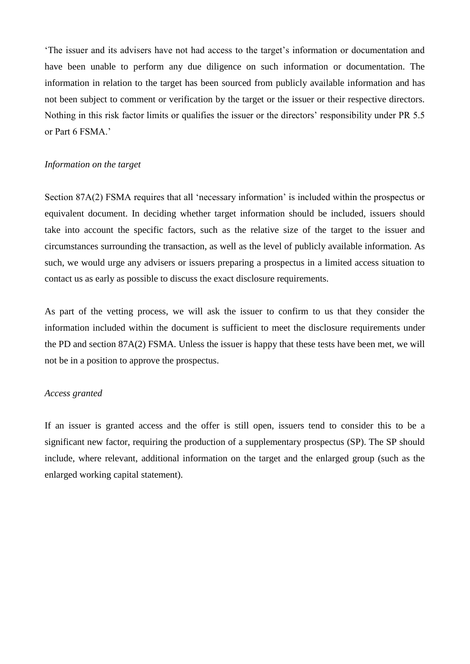'The issuer and its advisers have not had access to the target's information or documentation and have been unable to perform any due diligence on such information or documentation. The information in relation to the target has been sourced from publicly available information and has not been subject to comment or verification by the target or the issuer or their respective directors. Nothing in this risk factor limits or qualifies the issuer or the directors' responsibility under PR 5.5 or Part 6 FSMA.'

#### *Information on the target*

Section 87A(2) FSMA requires that all 'necessary information' is included within the prospectus or equivalent document. In deciding whether target information should be included, issuers should take into account the specific factors, such as the relative size of the target to the issuer and circumstances surrounding the transaction, as well as the level of publicly available information. As such, we would urge any advisers or issuers preparing a prospectus in a limited access situation to contact us as early as possible to discuss the exact disclosure requirements.

As part of the vetting process, we will ask the issuer to confirm to us that they consider the information included within the document is sufficient to meet the disclosure requirements under the PD and section 87A(2) FSMA. Unless the issuer is happy that these tests have been met, we will not be in a position to approve the prospectus.

### *Access granted*

If an issuer is granted access and the offer is still open, issuers tend to consider this to be a significant new factor, requiring the production of a supplementary prospectus (SP). The SP should include, where relevant, additional information on the target and the enlarged group (such as the enlarged working capital statement).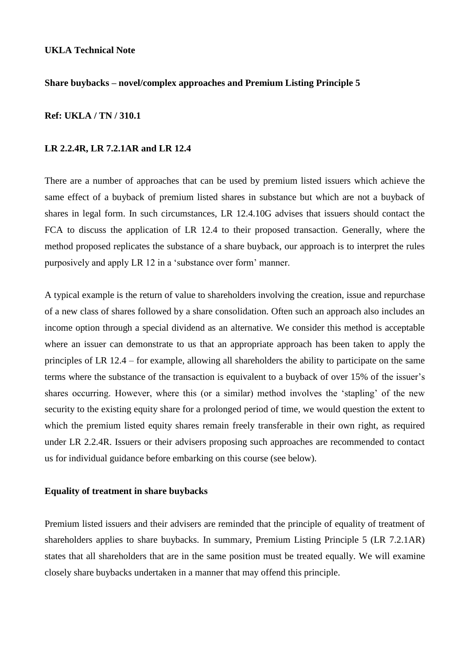# **Share buybacks – novel/complex approaches and Premium Listing Principle 5**

#### **Ref: UKLA / TN / 310.1**

#### **LR 2.2.4R, LR 7.2.1AR and LR 12.4**

There are a number of approaches that can be used by premium listed issuers which achieve the same effect of a buyback of premium listed shares in substance but which are not a buyback of shares in legal form. In such circumstances, LR 12.4.10G advises that issuers should contact the FCA to discuss the application of LR 12.4 to their proposed transaction. Generally, where the method proposed replicates the substance of a share buyback, our approach is to interpret the rules purposively and apply LR 12 in a 'substance over form' manner.

A typical example is the return of value to shareholders involving the creation, issue and repurchase of a new class of shares followed by a share consolidation. Often such an approach also includes an income option through a special dividend as an alternative. We consider this method is acceptable where an issuer can demonstrate to us that an appropriate approach has been taken to apply the principles of LR 12.4 – for example, allowing all shareholders the ability to participate on the same terms where the substance of the transaction is equivalent to a buyback of over 15% of the issuer's shares occurring. However, where this (or a similar) method involves the 'stapling' of the new security to the existing equity share for a prolonged period of time, we would question the extent to which the premium listed equity shares remain freely transferable in their own right, as required under LR 2.2.4R. Issuers or their advisers proposing such approaches are recommended to contact us for individual guidance before embarking on this course (see below).

#### **Equality of treatment in share buybacks**

Premium listed issuers and their advisers are reminded that the principle of equality of treatment of shareholders applies to share buybacks. In summary, Premium Listing Principle 5 (LR 7.2.1AR) states that all shareholders that are in the same position must be treated equally. We will examine closely share buybacks undertaken in a manner that may offend this principle.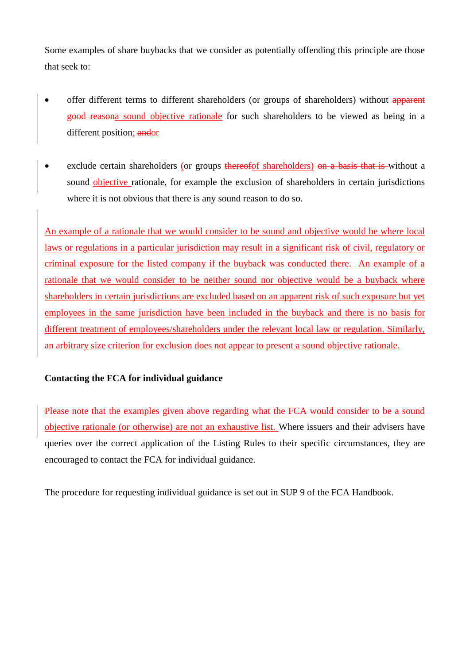Some examples of share buybacks that we consider as potentially offending this principle are those that seek to:

- offer different terms to different shareholders (or groups of shareholders) without apparent good reasona sound objective rationale for such shareholders to be viewed as being in a different position; and or
- exclude certain shareholders (or groups thereofof shareholders) on a basis that is without a sound objective rationale, for example the exclusion of shareholders in certain jurisdictions where it is not obvious that there is any sound reason to do so.

An example of a rationale that we would consider to be sound and objective would be where local laws or regulations in a particular jurisdiction may result in a significant risk of civil, regulatory or criminal exposure for the listed company if the buyback was conducted there. An example of a rationale that we would consider to be neither sound nor objective would be a buyback where shareholders in certain jurisdictions are excluded based on an apparent risk of such exposure but yet employees in the same jurisdiction have been included in the buyback and there is no basis for different treatment of employees/shareholders under the relevant local law or regulation. Similarly, an arbitrary size criterion for exclusion does not appear to present a sound objective rationale.

# **Contacting the FCA for individual guidance**

Please note that the examples given above regarding what the FCA would consider to be a sound objective rationale (or otherwise) are not an exhaustive list. Where issuers and their advisers have queries over the correct application of the Listing Rules to their specific circumstances, they are encouraged to contact the FCA for individual guidance.

The procedure for requesting individual guidance is set out in SUP 9 of the FCA Handbook.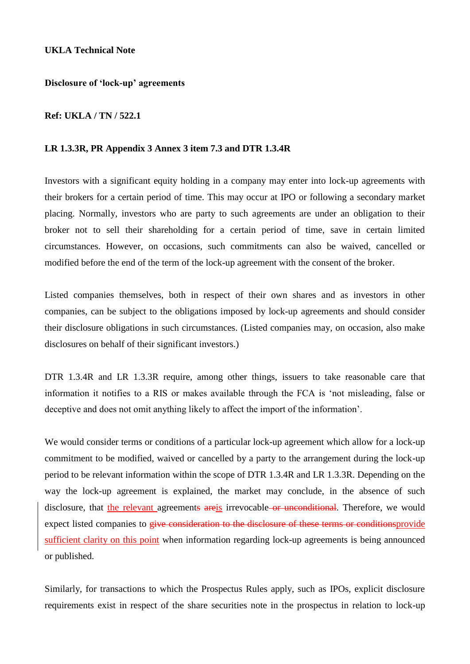**Disclosure of 'lock-up' agreements** 

# **Ref: UKLA / TN / 522.1**

# **LR 1.3.3R, PR Appendix 3 Annex 3 item 7.3 and DTR 1.3.4R**

Investors with a significant equity holding in a company may enter into lock-up agreements with their brokers for a certain period of time. This may occur at IPO or following a secondary market placing. Normally, investors who are party to such agreements are under an obligation to their broker not to sell their shareholding for a certain period of time, save in certain limited circumstances. However, on occasions, such commitments can also be waived, cancelled or modified before the end of the term of the lock-up agreement with the consent of the broker.

Listed companies themselves, both in respect of their own shares and as investors in other companies, can be subject to the obligations imposed by lock-up agreements and should consider their disclosure obligations in such circumstances. (Listed companies may, on occasion, also make disclosures on behalf of their significant investors.)

DTR 1.3.4R and LR 1.3.3R require, among other things, issuers to take reasonable care that information it notifies to a RIS or makes available through the FCA is 'not misleading, false or deceptive and does not omit anything likely to affect the import of the information'.

We would consider terms or conditions of a particular lock-up agreement which allow for a lock-up commitment to be modified, waived or cancelled by a party to the arrangement during the lock-up period to be relevant information within the scope of DTR 1.3.4R and LR 1.3.3R. Depending on the way the lock-up agreement is explained, the market may conclude, in the absence of such disclosure, that the relevant agreements are is irrevocable or unconditional. Therefore, we would expect listed companies to give consideration to the disclosure of these terms or conditionsprovide sufficient clarity on this point when information regarding lock-up agreements is being announced or published.

Similarly, for transactions to which the Prospectus Rules apply, such as IPOs, explicit disclosure requirements exist in respect of the share securities note in the prospectus in relation to lock-up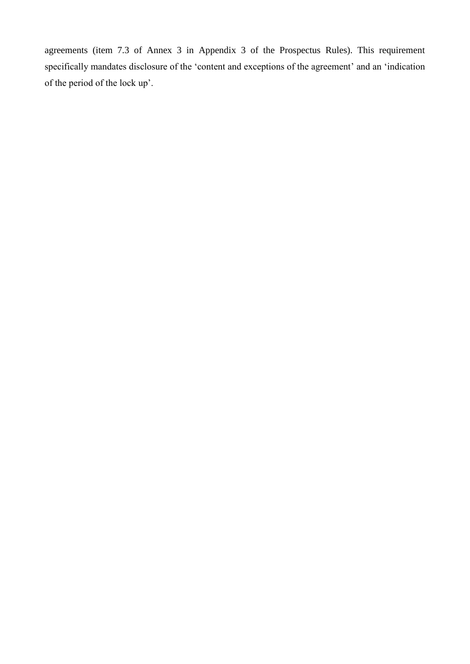agreements (item 7.3 of Annex 3 in Appendix 3 of the Prospectus Rules). This requirement specifically mandates disclosure of the 'content and exceptions of the agreement' and an 'indication of the period of the lock up'.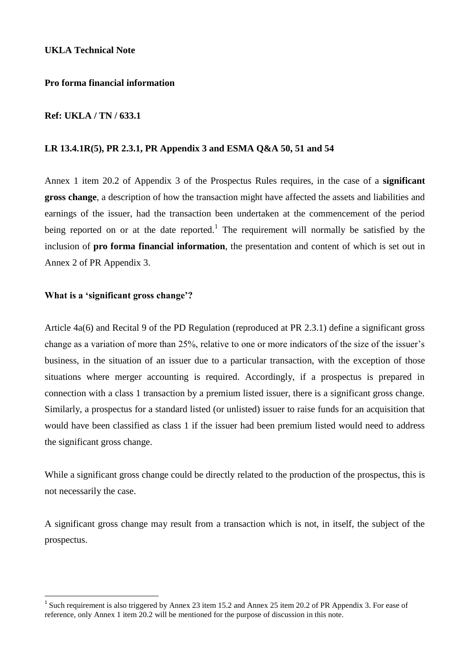# **Pro forma financial information**

# **Ref: UKLA / TN / 633.1**

# **LR 13.4.1R(5), PR 2.3.1, PR Appendix 3 and ESMA Q&A 50, 51 and 54**

Annex 1 item 20.2 of Appendix 3 of the Prospectus Rules requires, in the case of a **significant gross change**, a description of how the transaction might have affected the assets and liabilities and earnings of the issuer, had the transaction been undertaken at the commencement of the period being reported on or at the date reported.<sup>1</sup> The requirement will normally be satisfied by the inclusion of **pro forma financial information**, the presentation and content of which is set out in Annex 2 of PR Appendix 3.

### **What is a 'significant gross change'?**

<u>.</u>

Article 4a(6) and Recital 9 of the PD Regulation (reproduced at PR 2.3.1) define a significant gross change as a variation of more than 25%, relative to one or more indicators of the size of the issuer's business, in the situation of an issuer due to a particular transaction, with the exception of those situations where merger accounting is required. Accordingly, if a prospectus is prepared in connection with a class 1 transaction by a premium listed issuer, there is a significant gross change. Similarly, a prospectus for a standard listed (or unlisted) issuer to raise funds for an acquisition that would have been classified as class 1 if the issuer had been premium listed would need to address the significant gross change.

While a significant gross change could be directly related to the production of the prospectus, this is not necessarily the case.

A significant gross change may result from a transaction which is not, in itself, the subject of the prospectus.

<sup>&</sup>lt;sup>1</sup> Such requirement is also triggered by Annex 23 item 15.2 and Annex 25 item 20.2 of PR Appendix 3. For ease of reference, only Annex 1 item 20.2 will be mentioned for the purpose of discussion in this note.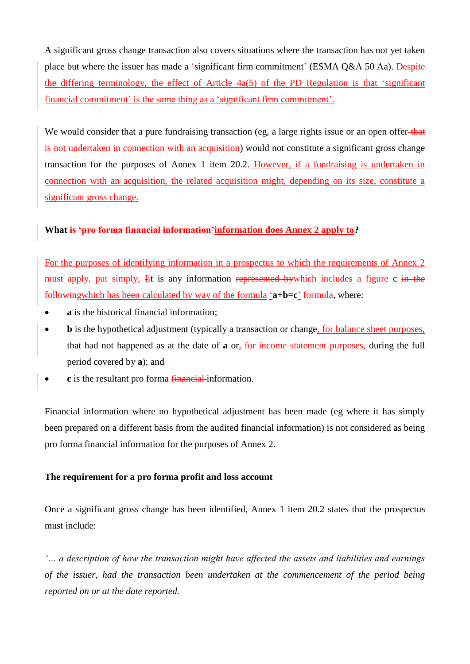A significant gross change transaction also covers situations where the transaction has not yet taken place but where the issuer has made a 'significant firm commitment' (ESMA Q&A 50 Aa). Despite the differing terminology, the effect of Article 4a(5) of the PD Regulation is that 'significant financial commitment' is the same thing as a 'significant firm commitment'.

We would consider that a pure fundraising transaction (eg, a large rights issue or an open offer that is not undertaken in connection with an acquisition) would not constitute a significant gross change transaction for the purposes of Annex 1 item 20.2. However, if a fundraising is undertaken in connection with an acquisition, the related acquisition might, depending on its size, constitute a significant gross change.

# **What is 'pro forma financial information'information does Annex 2 apply to?**

For the purposes of identifying information in a prospectus to which the requirements of Annex 2 must apply, put simply, Iit is any information represented by which includes a figure c in the followingwhich has been calculated by way of the formula '**a+b=c**' formula, where:

- **a** is the historical financial information;
- **b** is the hypothetical adjustment (typically a transaction or change, for balance sheet purposes, that had not happened as at the date of **a** or, for income statement purposes, during the full period covered by **a**); and
- **c** is the resultant pro forma **financial** information.

Financial information where no hypothetical adjustment has been made (eg where it has simply been prepared on a different basis from the audited financial information) is not considered as being pro forma financial information for the purposes of Annex 2.

# **The requirement for a pro forma profit and loss account**

Once a significant gross change has been identified, Annex 1 item 20.2 states that the prospectus must include:

*'… a description of how the transaction might have affected the assets and liabilities and earnings of the issuer, had the transaction been undertaken at the commencement of the period being reported on or at the date reported.*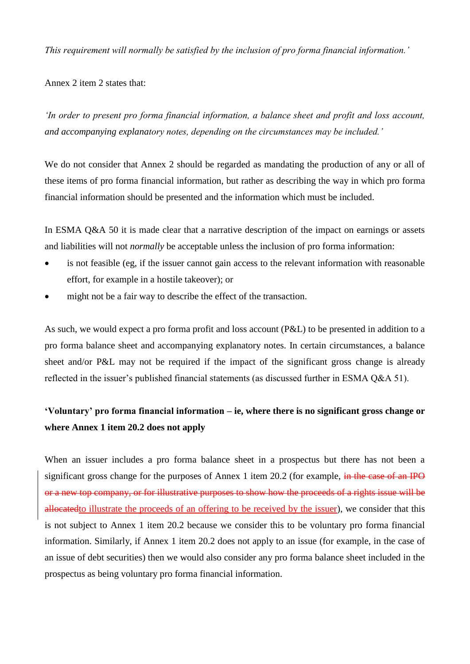*This requirement will normally be satisfied by the inclusion of pro forma financial information.'*

Annex 2 item 2 states that:

*'In order to present pro forma financial information, a balance sheet and profit and loss account, and accompanying explanatory notes, depending on the circumstances may be included.'*

We do not consider that Annex 2 should be regarded as mandating the production of any or all of these items of pro forma financial information, but rather as describing the way in which pro forma financial information should be presented and the information which must be included.

In ESMA Q&A 50 it is made clear that a narrative description of the impact on earnings or assets and liabilities will not *normally* be acceptable unless the inclusion of pro forma information:

- is not feasible (eg, if the issuer cannot gain access to the relevant information with reasonable effort, for example in a hostile takeover); or
- might not be a fair way to describe the effect of the transaction.

As such, we would expect a pro forma profit and loss account (P&L) to be presented in addition to a pro forma balance sheet and accompanying explanatory notes. In certain circumstances, a balance sheet and/or P&L may not be required if the impact of the significant gross change is already reflected in the issuer's published financial statements (as discussed further in ESMA Q&A 51).

# **'Voluntary' pro forma financial information – ie, where there is no significant gross change or where Annex 1 item 20.2 does not apply**

When an issuer includes a pro forma balance sheet in a prospectus but there has not been a significant gross change for the purposes of Annex 1 item 20.2 (for example, in the case of an IPO or a new top company, or for illustrative purposes to show how the proceeds of a rights issue will be allocatedto illustrate the proceeds of an offering to be received by the issuer), we consider that this is not subject to Annex 1 item 20.2 because we consider this to be voluntary pro forma financial information. Similarly, if Annex 1 item 20.2 does not apply to an issue (for example, in the case of an issue of debt securities) then we would also consider any pro forma balance sheet included in the prospectus as being voluntary pro forma financial information.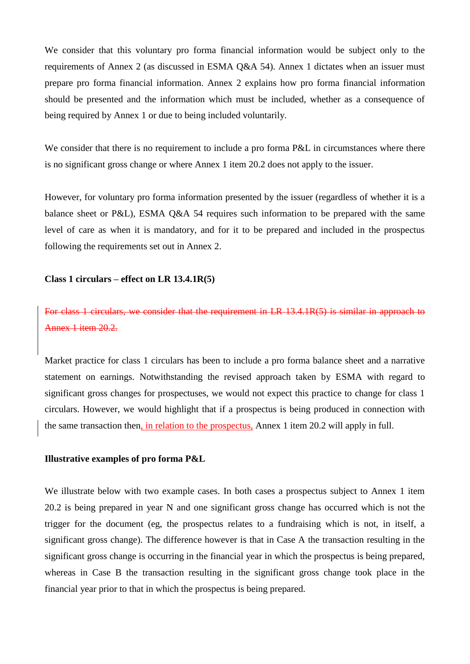We consider that this voluntary pro forma financial information would be subject only to the requirements of Annex 2 (as discussed in ESMA Q&A 54). Annex 1 dictates when an issuer must prepare pro forma financial information. Annex 2 explains how pro forma financial information should be presented and the information which must be included, whether as a consequence of being required by Annex 1 or due to being included voluntarily.

We consider that there is no requirement to include a pro forma P&L in circumstances where there is no significant gross change or where Annex 1 item 20.2 does not apply to the issuer.

However, for voluntary pro forma information presented by the issuer (regardless of whether it is a balance sheet or P&L), ESMA Q&A 54 requires such information to be prepared with the same level of care as when it is mandatory, and for it to be prepared and included in the prospectus following the requirements set out in Annex 2.

#### **Class 1 circulars – effect on LR 13.4.1R(5)**

For class 1 circulars, we consider that the requirement in LR 13.4.1R(5) is similar in approach to Annex 1 item 20.2.

Market practice for class 1 circulars has been to include a pro forma balance sheet and a narrative statement on earnings. Notwithstanding the revised approach taken by ESMA with regard to significant gross changes for prospectuses, we would not expect this practice to change for class 1 circulars. However, we would highlight that if a prospectus is being produced in connection with the same transaction then, in relation to the prospectus, Annex 1 item 20.2 will apply in full.

#### **Illustrative examples of pro forma P&L**

We illustrate below with two example cases. In both cases a prospectus subject to Annex 1 item 20.2 is being prepared in year N and one significant gross change has occurred which is not the trigger for the document (eg, the prospectus relates to a fundraising which is not, in itself, a significant gross change). The difference however is that in Case A the transaction resulting in the significant gross change is occurring in the financial year in which the prospectus is being prepared, whereas in Case B the transaction resulting in the significant gross change took place in the financial year prior to that in which the prospectus is being prepared.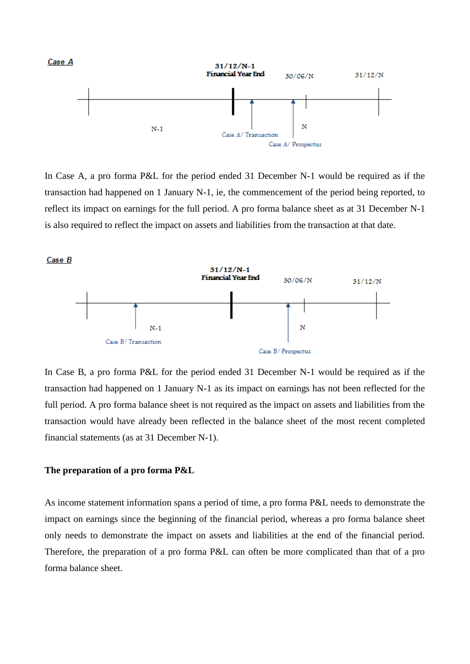

In Case A, a pro forma P&L for the period ended 31 December N-1 would be required as if the transaction had happened on 1 January N-1, ie, the commencement of the period being reported, to reflect its impact on earnings for the full period. A pro forma balance sheet as at 31 December N-1 is also required to reflect the impact on assets and liabilities from the transaction at that date.



In Case B, a pro forma P&L for the period ended 31 December N-1 would be required as if the transaction had happened on 1 January N-1 as its impact on earnings has not been reflected for the full period. A pro forma balance sheet is not required as the impact on assets and liabilities from the transaction would have already been reflected in the balance sheet of the most recent completed financial statements (as at 31 December N-1).

#### **The preparation of a pro forma P&L**

As income statement information spans a period of time, a pro forma P&L needs to demonstrate the impact on earnings since the beginning of the financial period, whereas a pro forma balance sheet only needs to demonstrate the impact on assets and liabilities at the end of the financial period. Therefore, the preparation of a pro forma P&L can often be more complicated than that of a pro forma balance sheet.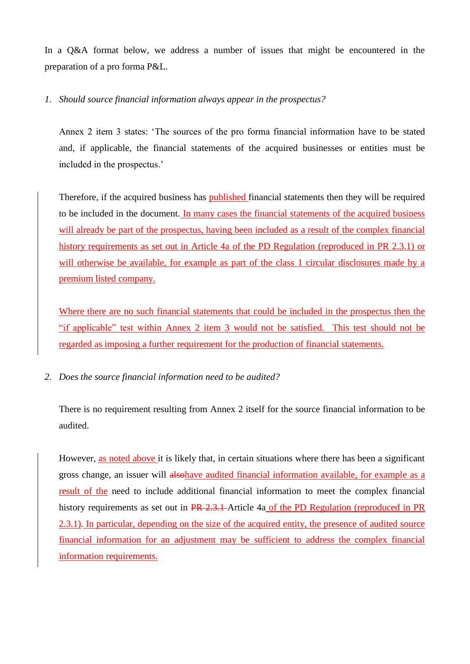In a O&A format below, we address a number of issues that might be encountered in the preparation of a pro forma P&L.

# *1. Should source financial information always appear in the prospectus?*

Annex 2 item 3 states: 'The sources of the pro forma financial information have to be stated and, if applicable, the financial statements of the acquired businesses or entities must be included in the prospectus.'

Therefore, if the acquired business has published financial statements then they will be required to be included in the document. In many cases the financial statements of the acquired business will already be part of the prospectus, having been included as a result of the complex financial history requirements as set out in Article 4a of the PD Regulation (reproduced in PR 2.3.1) or will otherwise be available, for example as part of the class 1 circular disclosures made by a premium listed company.

Where there are no such financial statements that could be included in the prospectus then the "if applicable" test within Annex 2 item 3 would not be satisfied. This test should not be regarded as imposing a further requirement for the production of financial statements.

*2. Does the source financial information need to be audited?*

There is no requirement resulting from Annex 2 itself for the source financial information to be audited.

However, as noted above it is likely that, in certain situations where there has been a significant gross change, an issuer will alsohave audited financial information available, for example as a result of the need to include additional financial information to meet the complex financial history requirements as set out in PR 2.3.1 Article 4a of the PD Regulation (reproduced in PR 2.3.1). In particular, depending on the size of the acquired entity, the presence of audited source financial information for an adjustment may be sufficient to address the complex financial information requirements.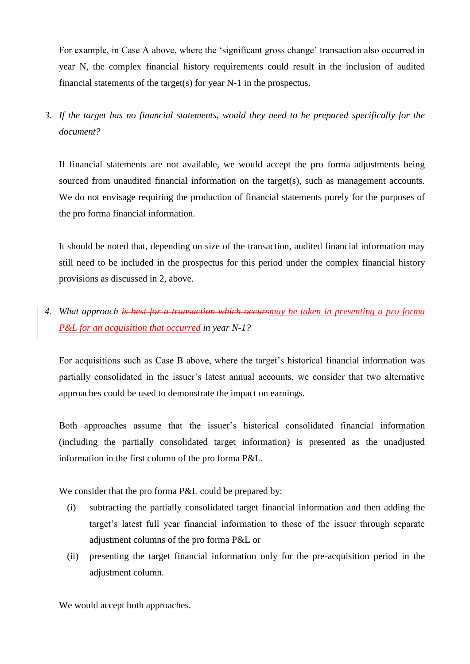For example, in Case A above, where the 'significant gross change' transaction also occurred in year N, the complex financial history requirements could result in the inclusion of audited financial statements of the target(s) for year N-1 in the prospectus.

*3. If the target has no financial statements, would they need to be prepared specifically for the document?* 

If financial statements are not available, we would accept the pro forma adjustments being sourced from unaudited financial information on the target(s), such as management accounts. We do not envisage requiring the production of financial statements purely for the purposes of the pro forma financial information.

It should be noted that, depending on size of the transaction, audited financial information may still need to be included in the prospectus for this period under the complex financial history provisions as discussed in 2, above.

# *4. What approach is best for a transaction which occursmay be taken in presenting a pro forma P&L for an acquisition that occurred in year N-1?*

For acquisitions such as Case B above, where the target's historical financial information was partially consolidated in the issuer's latest annual accounts, we consider that two alternative approaches could be used to demonstrate the impact on earnings.

Both approaches assume that the issuer's historical consolidated financial information (including the partially consolidated target information) is presented as the unadjusted information in the first column of the pro forma P&L.

We consider that the pro forma P&L could be prepared by:

- (i) subtracting the partially consolidated target financial information and then adding the target's latest full year financial information to those of the issuer through separate adjustment columns of the pro forma P&L or
- (ii) presenting the target financial information only for the pre-acquisition period in the adjustment column.

We would accept both approaches.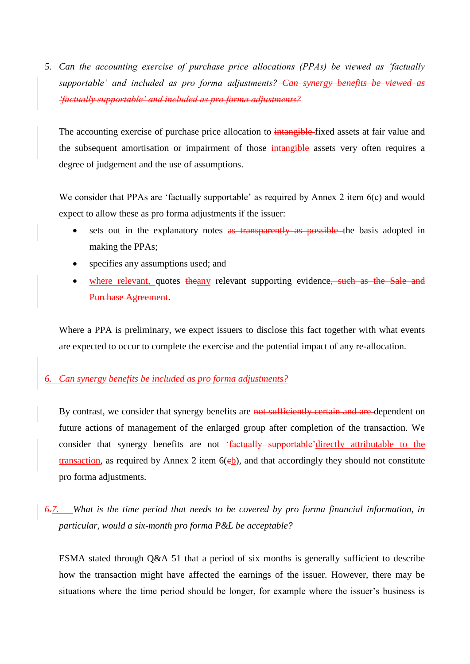*5. Can the accounting exercise of purchase price allocations (PPAs) be viewed as 'factually supportable' and included as pro forma adjustments? Can synergy benefits be viewed as 'factually supportable' and included as pro forma adjustments?*

The accounting exercise of purchase price allocation to intangible fixed assets at fair value and the subsequent amortisation or impairment of those intangible assets very often requires a degree of judgement and the use of assumptions.

We consider that PPAs are 'factually supportable' as required by Annex 2 item 6(c) and would expect to allow these as pro forma adjustments if the issuer:

- sets out in the explanatory notes as transparently as possible the basis adopted in making the PPAs;
- specifies any assumptions used; and
- where relevant, quotes the any relevant supporting evidence, such as the Sale and Purchase Agreement.

Where a PPA is preliminary, we expect issuers to disclose this fact together with what events are expected to occur to complete the exercise and the potential impact of any re-allocation.

# *6. Can synergy benefits be included as pro forma adjustments?*

By contrast, we consider that synergy benefits are not sufficiently certain and are dependent on future actions of management of the enlarged group after completion of the transaction. We consider that synergy benefits are not 'factually supportable'directly attributable to the transaction, as required by Annex 2 item  $6(eb)$ , and that accordingly they should not constitute pro forma adjustments.

*6.7. What is the time period that needs to be covered by pro forma financial information, in particular, would a six-month pro forma P&L be acceptable?*

ESMA stated through Q&A 51 that a period of six months is generally sufficient to describe how the transaction might have affected the earnings of the issuer. However, there may be situations where the time period should be longer, for example where the issuer's business is